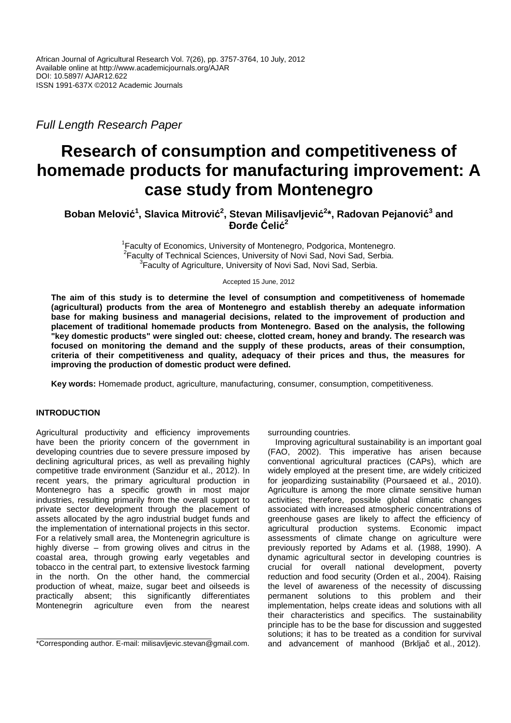Full Length Research Paper

# **Research of consumption and competitiveness of homemade products for manufacturing improvement: A case study from Montenegro**

**Boban Melović 1 , Slavica Mitrović 2 , Stevan Milisavljević 2 \*, Radovan Pejanović 3 and Đorđe Ćelić 2**

> <sup>1</sup> Faculty of Economics, University of Montenegro, Podgorica, Montenegro. <sup>2</sup> Faculty of Technical Sciences, University of Novi Sad, Novi Sad, Serbia. <sup>3</sup> Faculty of Agriculture, University of Novi Sad, Novi Sad, Serbia.

> > Accepted 15 June, 2012

**The aim of this study is to determine the level of consumption and competitiveness of homemade (agricultural) products from the area of Montenegro and establish thereby an adequate information base for making business and managerial decisions, related to the improvement of production and placement of traditional homemade products from Montenegro. Based on the analysis, the following "key domestic products" were singled out: cheese, clotted cream, honey and brandy. The research was focused on monitoring the demand and the supply of these products, areas of their consumption, criteria of their competitiveness and quality, adequacy of their prices and thus, the measures for improving the production of domestic product were defined.** 

**Key words:** Homemade product, agriculture, manufacturing, consumer, consumption, competitiveness.

# **INTRODUCTION**

Agricultural productivity and efficiency improvements have been the priority concern of the government in developing countries due to severe pressure imposed by declining agricultural prices, as well as prevailing highly competitive trade environment (Sanzidur et al., 2012). In recent years, the primary agricultural production in Montenegro has a specific growth in most major industries, resulting primarily from the overall support to private sector development through the placement of assets allocated by the agro industrial budget funds and the implementation of international projects in this sector. For a relatively small area, the Montenegrin agriculture is highly diverse – from growing olives and citrus in the coastal area, through growing early vegetables and tobacco in the central part, to extensive livestock farming in the north. On the other hand, the commercial production of wheat, maize, sugar beet and oilseeds is practically absent; this significantly differentiates Montenegrin agriculture even from the nearest

\*Corresponding author. E-mail: milisavljevic.stevan@gmail.com.

surrounding countries.

Improving agricultural sustainability is an important goal (FAO, 2002). This imperative has arisen because conventional agricultural practices (CAPs), which are widely employed at the present time, are widely criticized for jeopardizing sustainability (Poursaeed et al., 2010). Agriculture is among the more climate sensitive human activities; therefore, possible global climatic changes associated with increased atmospheric concentrations of greenhouse gases are likely to affect the efficiency of agricultural production systems. Economic impact assessments of climate change on agriculture were previously reported by Adams et al. (1988, 1990). A dynamic agricultural sector in developing countries is crucial for overall national development, poverty reduction and food security (Orden et al., 2004). Raising the level of awareness of the necessity of discussing permanent solutions to this problem and their implementation, helps create ideas and solutions with all their characteristics and specifics. The sustainability principle has to be the base for discussion and suggested solutions; it has to be treated as a condition for survival and advancement of manhood (Brkljač et al., 2012).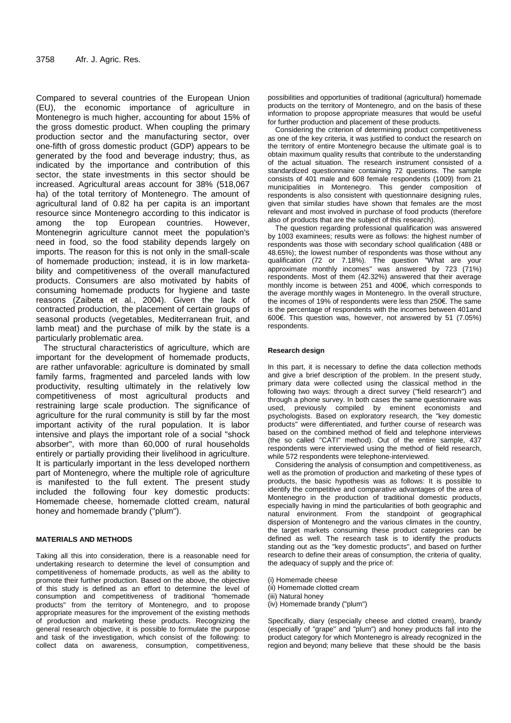Compared to several countries of the European Union (EU), the economic importance of agriculture in Montenegro is much higher, accounting for about 15% of the gross domestic product. When coupling the primary production sector and the manufacturing sector, over one-fifth of gross domestic product (GDP) appears to be generated by the food and beverage industry; thus, as indicated by the importance and contribution of this sector, the state investments in this sector should be increased. Agricultural areas account for 38% (518,067 ha) of the total territory of Montenegro. The amount of agricultural land of 0.82 ha per capita is an important resource since Montenegro according to this indicator is among the top European countries. However, Montenegrin agriculture cannot meet the population's need in food, so the food stability depends largely on imports. The reason for this is not only in the small-scale of homemade production; instead, it is in low marketability and competitiveness of the overall manufactured products. Consumers are also motivated by habits of consuming homemade products for hygiene and taste reasons (Zaibeta et al., 2004). Given the lack of contracted production, the placement of certain groups of seasonal products (vegetables, Mediterranean fruit, and lamb meat) and the purchase of milk by the state is a particularly problematic area.

The structural characteristics of agriculture, which are important for the development of homemade products, are rather unfavorable: agriculture is dominated by small family farms, fragmented and parceled lands with low productivity, resulting ultimately in the relatively low competitiveness of most agricultural products and restraining large scale production. The significance of agriculture for the rural community is still by far the most important activity of the rural population. It is labor intensive and plays the important role of a social "shock absorber", with more than 60,000 of rural households entirely or partially providing their livelihood in agriculture. It is particularly important in the less developed northern part of Montenegro, where the multiple role of agriculture is manifested to the full extent. The present study included the following four key domestic products: Homemade cheese, homemade clotted cream, natural honey and homemade brandy ("plum").

#### **MATERIALS AND METHODS**

Taking all this into consideration, there is a reasonable need for undertaking research to determine the level of consumption and competitiveness of homemade products, as well as the ability to promote their further production. Based on the above, the objective of this study is defined as an effort to determine the level of consumption and competitiveness of traditional "homemade products" from the territory of Montenegro, and to propose appropriate measures for the improvement of the existing methods of production and marketing these products. Recognizing the general research objective, it is possible to formulate the purpose and task of the investigation, which consist of the following: to collect data on awareness, consumption, competitiveness,

possibilities and opportunities of traditional (agricultural) homemade products on the territory of Montenegro, and on the basis of these information to propose appropriate measures that would be useful for further production and placement of these products.

Considering the criterion of determining product competitiveness as one of the key criteria, it was justified to conduct the research on the territory of entire Montenegro because the ultimate goal is to obtain maximum quality results that contribute to the understanding of the actual situation. The research instrument consisted of a standardized questionnaire containing 72 questions. The sample consists of 401 male and 608 female respondents (1009) from 21 municipalities in Montenegro. This gender composition of respondents is also consistent with questionnaire designing rules, given that similar studies have shown that females are the most relevant and most involved in purchase of food products (therefore also of products that are the subject of this research).

The question regarding professional qualification was answered by 1003 examinees; results were as follows: the highest number of respondents was those with secondary school qualification (488 or 48.65%); the lowest number of respondents was those without any qualification (72 or 7.18%). The question "What are your approximate monthly incomes" was answered by 723 (71%) respondents. Most of them (42.32%) answered that their average monthly income is between 251 and 400€, which corresponds to the average monthly wages in Montenegro. In the overall structure, the incomes of 19% of respondents were less than 250€. The same is the percentage of respondents with the incomes between 401and 600€. This question was, however, not answered by 51 (7.05%) respondents.

#### **Research design**

In this part, it is necessary to define the data collection methods and give a brief description of the problem. In the present study, primary data were collected using the classical method in the following two ways: through a direct survey ("field research") and through a phone survey. In both cases the same questionnaire was used, previously compiled by eminent economists and psychologists. Based on exploratory research, the "key domestic products" were differentiated, and further course of research was based on the combined method of field and telephone interviews (the so called "CATI" method). Out of the entire sample, 437 respondents were interviewed using the method of field research, while 572 respondents were telephone-interviewed.

Considering the analysis of consumption and competitiveness, as well as the promotion of production and marketing of these types of products, the basic hypothesis was as follows: It is possible to identify the competitive and comparative advantages of the area of Montenegro in the production of traditional domestic products, especially having in mind the particularities of both geographic and natural environment. From the standpoint of geographical dispersion of Montenegro and the various climates in the country, the target markets consuming these product categories can be defined as well. The research task is to identify the products standing out as the "key domestic products", and based on further research to define their areas of consumption, the criteria of quality, the adequacy of supply and the price of:

- (i) Homemade cheese
- (ii) Homemade clotted cream
- (iii) Natural honey
- (iv) Homemade brandy ("plum")

Specifically, diary (especially cheese and clotted cream), brandy (especially of "grape" and "plum") and honey products fall into the product category for which Montenegro is already recognized in the region and beyond; many believe that these should be the basis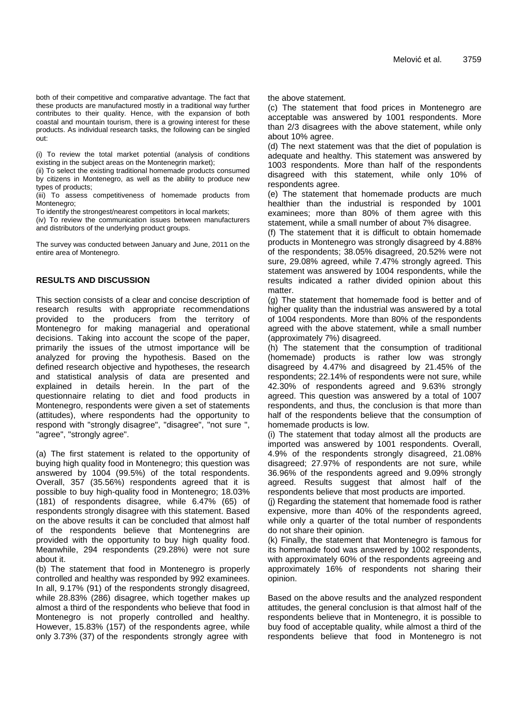both of their competitive and comparative advantage. The fact that these products are manufactured mostly in a traditional way further contributes to their quality. Hence, with the expansion of both coastal and mountain tourism, there is a growing interest for these products. As individual research tasks, the following can be singled out:

(i) To review the total market potential (analysis of conditions existing in the subject areas on the Montenegrin market);

(ii) To select the existing traditional homemade products consumed by citizens in Montenegro, as well as the ability to produce new types of products;

(iii) To assess competitiveness of homemade products from Montenegro;

To identify the strongest/nearest competitors in local markets;

(iv) To review the communication issues between manufacturers and distributors of the underlying product groups.

The survey was conducted between January and June, 2011 on the entire area of Montenegro.

# **RESULTS AND DISCUSSION**

This section consists of a clear and concise description of research results with appropriate recommendations provided to the producers from the territory of Montenegro for making managerial and operational decisions. Taking into account the scope of the paper, primarily the issues of the utmost importance will be analyzed for proving the hypothesis. Based on the defined research objective and hypotheses, the research and statistical analysis of data are presented and explained in details herein. In the part of the questionnaire relating to diet and food products in Montenegro, respondents were given a set of statements (attitudes), where respondents had the opportunity to respond with "strongly disagree", "disagree", "not sure ", "agree", "strongly agree".

(a) The first statement is related to the opportunity of buying high quality food in Montenegro; this question was answered by 1004 (99.5%) of the total respondents. Overall, 357 (35.56%) respondents agreed that it is possible to buy high-quality food in Montenegro; 18.03% (181) of respondents disagree, while 6.47% (65) of respondents strongly disagree with this statement. Based on the above results it can be concluded that almost half of the respondents believe that Montenegrins are provided with the opportunity to buy high quality food. Meanwhile, 294 respondents (29.28%) were not sure about it.

(b) The statement that food in Montenegro is properly controlled and healthy was responded by 992 examinees. In all, 9.17% (91) of the respondents strongly disagreed, while 28.83% (286) disagree, which together makes up almost a third of the respondents who believe that food in Montenegro is not properly controlled and healthy. However, 15.83% (157) of the respondents agree, while only 3.73% (37) of the respondents strongly agree with

the above statement.

(c) The statement that food prices in Montenegro are acceptable was answered by 1001 respondents. More than 2/3 disagrees with the above statement, while only about 10% agree.

(d) The next statement was that the diet of population is adequate and healthy. This statement was answered by 1003 respondents. More than half of the respondents disagreed with this statement, while only 10% of respondents agree.

(e) The statement that homemade products are much healthier than the industrial is responded by 1001 examinees; more than 80% of them agree with this statement, while a small number of about 7% disagree.

(f) The statement that it is difficult to obtain homemade products in Montenegro was strongly disagreed by 4.88% of the respondents; 38.05% disagreed, 20.52% were not sure, 29.08% agreed, while 7.47% strongly agreed. This statement was answered by 1004 respondents, while the results indicated a rather divided opinion about this matter

(g) The statement that homemade food is better and of higher quality than the industrial was answered by a total of 1004 respondents. More than 80% of the respondents agreed with the above statement, while a small number (approximately 7%) disagreed.

(h) The statement that the consumption of traditional (homemade) products is rather low was strongly disagreed by 4.47% and disagreed by 21.45% of the respondents; 22.14% of respondents were not sure, while 42.30% of respondents agreed and 9.63% strongly agreed. This question was answered by a total of 1007 respondents, and thus, the conclusion is that more than half of the respondents believe that the consumption of homemade products is low.

(i) The statement that today almost all the products are imported was answered by 1001 respondents. Overall, 4.9% of the respondents strongly disagreed, 21.08% disagreed; 27.97% of respondents are not sure, while 36.96% of the respondents agreed and 9.09% strongly agreed. Results suggest that almost half of the respondents believe that most products are imported.

(j) Regarding the statement that homemade food is rather expensive, more than 40% of the respondents agreed, while only a quarter of the total number of respondents do not share their opinion.

(k) Finally, the statement that Montenegro is famous for its homemade food was answered by 1002 respondents, with approximately 60% of the respondents agreeing and approximately 16% of respondents not sharing their opinion.

Based on the above results and the analyzed respondent attitudes, the general conclusion is that almost half of the respondents believe that in Montenegro, it is possible to buy food of acceptable quality, while almost a third of the respondents believe that food in Montenegro is not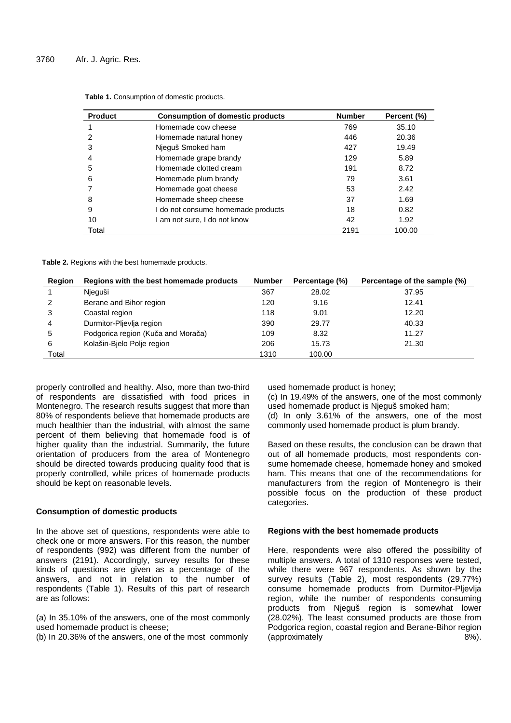| <b>Product</b> | <b>Consumption of domestic products</b> | <b>Number</b> | Percent (%) |
|----------------|-----------------------------------------|---------------|-------------|
|                | Homemade cow cheese                     | 769           | 35.10       |
| 2              | Homemade natural honey                  | 446           | 20.36       |
| 3              | Njeguš Smoked ham                       | 427           | 19.49       |
| 4              | Homemade grape brandy                   | 129           | 5.89        |
| 5              | Homemade clotted cream                  | 191           | 8.72        |
| 6              | Homemade plum brandy                    | 79            | 3.61        |
|                | Homemade goat cheese                    | 53            | 2.42        |
| 8              | Homemade sheep cheese                   | 37            | 1.69        |
| 9              | I do not consume homemade products      | 18            | 0.82        |
| 10             | l am not sure, I do not know            | 42            | 1.92        |
| Total          |                                         | 2191          | 100.00      |

**Table 1.** Consumption of domestic products.

**Table 2.** Regions with the best homemade products.

| Region | Regions with the best homemade products | <b>Number</b> | Percentage (%) | Percentage of the sample (%) |
|--------|-----------------------------------------|---------------|----------------|------------------------------|
|        | Njeguši                                 | 367           | 28.02          | 37.95                        |
| 2      | Berane and Bihor region                 | 120           | 9.16           | 12.41                        |
| 3      | Coastal region                          | 118           | 9.01           | 12.20                        |
| 4      | Durmitor-Pljevlja region                | 390           | 29.77          | 40.33                        |
| 5      | Podgorica region (Kuča and Morača)      | 109           | 8.32           | 11.27                        |
| 6      | Kolašin-Bielo Polje region              | 206           | 15.73          | 21.30                        |
| Total  |                                         | 1310          | 100.00         |                              |

properly controlled and healthy. Also, more than two-third of respondents are dissatisfied with food prices in Montenegro. The research results suggest that more than 80% of respondents believe that homemade products are much healthier than the industrial, with almost the same percent of them believing that homemade food is of higher quality than the industrial. Summarily, the future orientation of producers from the area of Montenegro should be directed towards producing quality food that is properly controlled, while prices of homemade products should be kept on reasonable levels.

# **Consumption of domestic products**

In the above set of questions, respondents were able to check one or more answers. For this reason, the number of respondents (992) was different from the number of answers (2191). Accordingly, survey results for these kinds of questions are given as a percentage of the answers, and not in relation to the number of respondents (Table 1). Results of this part of research are as follows:

(a) In 35.10% of the answers, one of the most commonly used homemade product is cheese;

(b) In 20.36% of the answers, one of the most commonly

used homemade product is honey;

(c) In 19.49% of the answers, one of the most commonly used homemade product is Njeguš smoked ham;

(d) In only 3.61% of the answers, one of the most commonly used homemade product is plum brandy.

Based on these results, the conclusion can be drawn that out of all homemade products, most respondents consume homemade cheese, homemade honey and smoked ham. This means that one of the recommendations for manufacturers from the region of Montenegro is their possible focus on the production of these product categories.

#### **Regions with the best homemade products**

Here, respondents were also offered the possibility of multiple answers. A total of 1310 responses were tested, while there were 967 respondents. As shown by the survey results (Table 2), most respondents (29.77%) consume homemade products from Durmitor-Pljevlja region, while the number of respondents consuming products from Njeguš region is somewhat lower (28.02%). The least consumed products are those from Podgorica region, coastal region and Berane-Bihor region (approximately 8%).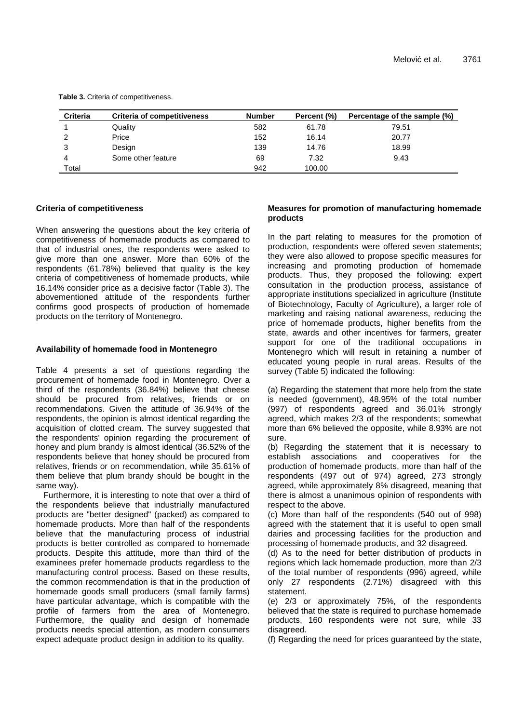| <b>Criteria</b> | <b>Criteria of competitiveness</b> | <b>Number</b> | Percent (%) | Percentage of the sample (%) |
|-----------------|------------------------------------|---------------|-------------|------------------------------|
|                 | Quality                            | 582           | 61.78       | 79.51                        |
| 2               | Price                              | 152           | 16.14       | 20.77                        |
| 3               | Design                             | 139           | 14.76       | 18.99                        |
| 4               | Some other feature                 | 69            | 7.32        | 9.43                         |
| Total           |                                    | 942           | 100.00      |                              |

**Table 3.** Criteria of competitiveness.

#### **Criteria of competitiveness**

When answering the questions about the key criteria of competitiveness of homemade products as compared to that of industrial ones, the respondents were asked to give more than one answer. More than 60% of the respondents (61.78%) believed that quality is the key criteria of competitiveness of homemade products, while 16.14% consider price as a decisive factor (Table 3). The abovementioned attitude of the respondents further confirms good prospects of production of homemade products on the territory of Montenegro.

#### **Availability of homemade food in Montenegro**

Table 4 presents a set of questions regarding the procurement of homemade food in Montenegro. Over a third of the respondents (36.84%) believe that cheese should be procured from relatives, friends or on recommendations. Given the attitude of 36.94% of the respondents, the opinion is almost identical regarding the acquisition of clotted cream. The survey suggested that the respondents' opinion regarding the procurement of honey and plum brandy is almost identical (36.52% of the respondents believe that honey should be procured from relatives, friends or on recommendation, while 35.61% of them believe that plum brandy should be bought in the same way).

Furthermore, it is interesting to note that over a third of the respondents believe that industrially manufactured products are "better designed" (packed) as compared to homemade products. More than half of the respondents believe that the manufacturing process of industrial products is better controlled as compared to homemade products. Despite this attitude, more than third of the examinees prefer homemade products regardless to the manufacturing control process. Based on these results, the common recommendation is that in the production of homemade goods small producers (small family farms) have particular advantage, which is compatible with the profile of farmers from the area of Montenegro. Furthermore, the quality and design of homemade products needs special attention, as modern consumers expect adequate product design in addition to its quality.

#### **Measures for promotion of manufacturing homemade products**

In the part relating to measures for the promotion of production, respondents were offered seven statements; they were also allowed to propose specific measures for increasing and promoting production of homemade products. Thus, they proposed the following: expert consultation in the production process, assistance of appropriate institutions specialized in agriculture (Institute of Biotechnology, Faculty of Agriculture), a larger role of marketing and raising national awareness, reducing the price of homemade products, higher benefits from the state, awards and other incentives for farmers, greater support for one of the traditional occupations in Montenegro which will result in retaining a number of educated young people in rural areas. Results of the survey (Table 5) indicated the following:

(a) Regarding the statement that more help from the state is needed (government), 48.95% of the total number (997) of respondents agreed and 36.01% strongly agreed, which makes 2/3 of the respondents; somewhat more than 6% believed the opposite, while 8.93% are not sure.

(b) Regarding the statement that it is necessary to establish associations and cooperatives for the production of homemade products, more than half of the respondents (497 out of 974) agreed, 273 strongly agreed, while approximately 8% disagreed, meaning that there is almost a unanimous opinion of respondents with respect to the above.

(c) More than half of the respondents (540 out of 998) agreed with the statement that it is useful to open small dairies and processing facilities for the production and processing of homemade products, and 32 disagreed.

(d) As to the need for better distribution of products in regions which lack homemade production, more than 2/3 of the total number of respondents (996) agreed, while only 27 respondents (2.71%) disagreed with this statement.

(e) 2/3 or approximately 75%, of the respondents believed that the state is required to purchase homemade products, 160 respondents were not sure, while 33 disagreed.

(f) Regarding the need for prices guaranteed by the state,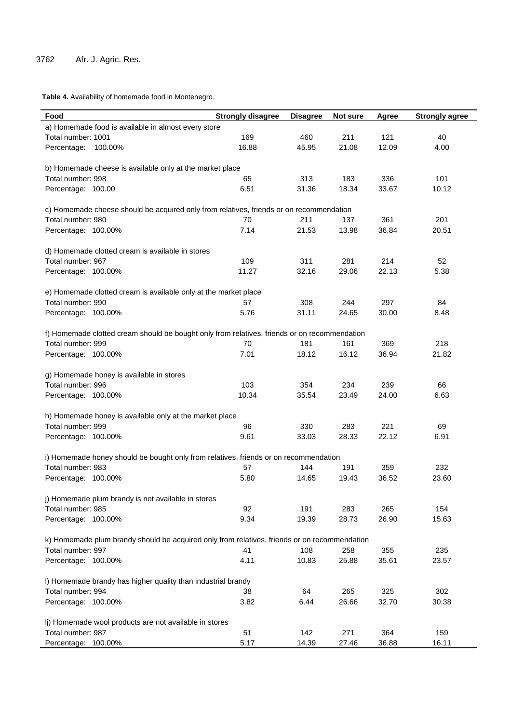**Table 4.** Availability of homemade food in Montenegro.

| Food                                                                                         | <b>Strongly disagree</b> | <b>Disagree</b> | Not sure | Agree | <b>Strongly agree</b> |  |
|----------------------------------------------------------------------------------------------|--------------------------|-----------------|----------|-------|-----------------------|--|
| a) Homemade food is available in almost every store                                          |                          |                 |          |       |                       |  |
| Total number: 1001                                                                           | 169                      | 460             | 211      | 121   | 40                    |  |
| Percentage: 100.00%                                                                          | 16.88                    | 45.95           | 21.08    | 12.09 | 4.00                  |  |
| b) Homemade cheese is available only at the market place                                     |                          |                 |          |       |                       |  |
| Total number: 998                                                                            | 65                       | 313             | 183      | 336   | 101                   |  |
| Percentage: 100.00                                                                           | 6.51                     | 31.36           | 18.34    | 33.67 | 10.12                 |  |
| c) Homemade cheese should be acquired only from relatives, friends or on recommendation      |                          |                 |          |       |                       |  |
| Total number: 980                                                                            | 70                       | 211             | 137      | 361   | 201                   |  |
| Percentage: 100.00%                                                                          | 7.14                     | 21.53           | 13.98    | 36.84 | 20.51                 |  |
| d) Homemade clotted cream is available in stores                                             |                          |                 |          |       |                       |  |
| Total number: 967                                                                            | 109                      | 311             | 281      | 214   | 52                    |  |
| Percentage: 100.00%                                                                          | 11.27                    | 32.16           | 29.06    | 22.13 | 5.38                  |  |
| e) Homemade clotted cream is available only at the market place                              |                          |                 |          |       |                       |  |
| Total number: 990                                                                            | 57                       | 308             | 244      | 297   | 84                    |  |
| Percentage: 100.00%                                                                          | 5.76                     | 31.11           | 24.65    | 30.00 | 8.48                  |  |
| f) Homemade clotted cream should be bought only from relatives, friends or on recommendation |                          |                 |          |       |                       |  |
| Total number: 999                                                                            | 70                       | 181             | 161      | 369   | 218                   |  |
| Percentage: 100.00%                                                                          | 7.01                     | 18.12           | 16.12    | 36.94 | 21.82                 |  |
| g) Homemade honey is available in stores                                                     |                          |                 |          |       |                       |  |
| Total number: 996                                                                            | 103                      | 354             | 234      | 239   | 66                    |  |
| Percentage: 100.00%                                                                          | 10.34                    | 35.54           | 23.49    | 24.00 | 6.63                  |  |
| h) Homemade honey is available only at the market place                                      |                          |                 |          |       |                       |  |
| Total number: 999                                                                            | 96                       | 330             | 283      | 221   | 69                    |  |
| Percentage: 100.00%                                                                          | 9.61                     | 33.03           | 28.33    | 22.12 | 6.91                  |  |
| i) Homemade honey should be bought only from relatives, friends or on recommendation         |                          |                 |          |       |                       |  |
| Total number: 983                                                                            | 57                       | 144             | 191      | 359   | 232                   |  |
| Percentage: 100.00%                                                                          | 5.80                     | 14.65           | 19.43    | 36.52 | 23.60                 |  |
| j) Homemade plum brandy is not available in stores                                           |                          |                 |          |       |                       |  |
| Total number: 985                                                                            | 92                       | 191             | 283      | 265   | 154                   |  |
| Percentage: 100.00%                                                                          | 9.34                     | 19.39           | 28.73    | 26.90 | 15.63                 |  |
| k) Homemade plum brandy should be acquired only from relatives, friends or on recommendation |                          |                 |          |       |                       |  |
| Total number: 997                                                                            | 41                       | 108             | 258      | 355   | 235                   |  |
| Percentage: 100.00%                                                                          | 4.11                     | 10.83           | 25.88    | 35.61 | 23.57                 |  |
| I) Homemade brandy has higher quality than industrial brandy                                 |                          |                 |          |       |                       |  |
| Total number: 994                                                                            | 38                       | 64              | 265      | 325   | 302                   |  |
| Percentage: 100.00%                                                                          | 3.82                     | 6.44            | 26.66    | 32.70 | 30.38                 |  |
| Ij) Homemade wool products are not available in stores                                       |                          |                 |          |       |                       |  |
| Total number: 987                                                                            | 51                       | 142             | 271      | 364   | 159                   |  |
| Percentage: 100.00%                                                                          | 5.17                     | 14.39           | 27.46    | 36.88 | 16.11                 |  |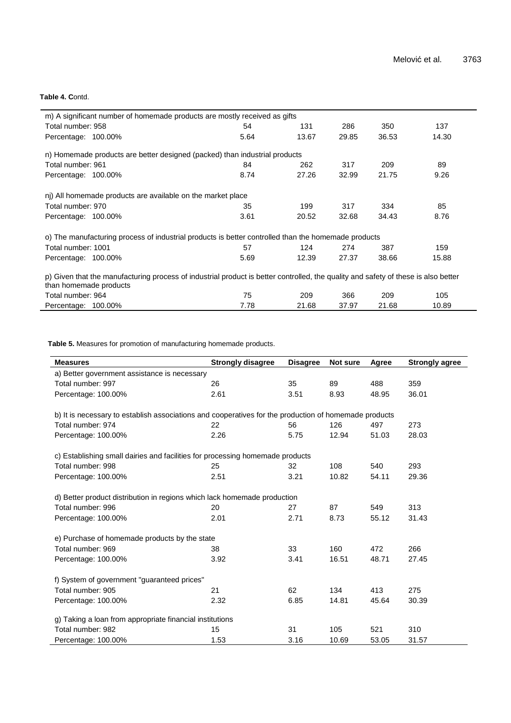#### **Table 4. C**ontd.

| m) A significant number of homemade products are mostly received as gifts                                                                                    |      |       |       |       |       |
|--------------------------------------------------------------------------------------------------------------------------------------------------------------|------|-------|-------|-------|-------|
| Total number: 958                                                                                                                                            | 54   | 131   | 286   | 350   | 137   |
| Percentage: 100.00%                                                                                                                                          | 5.64 | 13.67 | 29.85 | 36.53 | 14.30 |
| n) Homemade products are better designed (packed) than industrial products                                                                                   |      |       |       |       |       |
| Total number: 961                                                                                                                                            | 84   | 262   | 317   | 209   | 89    |
| Percentage: 100.00%                                                                                                                                          | 8.74 | 27.26 | 32.99 | 21.75 | 9.26  |
| nj) All homemade products are available on the market place                                                                                                  |      |       |       |       |       |
| Total number: 970                                                                                                                                            | 35   | 199   | 317   | 334   | 85    |
| Percentage: 100.00%                                                                                                                                          | 3.61 | 20.52 | 32.68 | 34.43 | 8.76  |
| o) The manufacturing process of industrial products is better controlled than the homemade products                                                          |      |       |       |       |       |
| Total number: 1001                                                                                                                                           | 57   | 124   | 274   | 387   | 159   |
| Percentage: 100.00%                                                                                                                                          | 5.69 | 12.39 | 27.37 | 38.66 | 15.88 |
| p) Given that the manufacturing process of industrial product is better controlled, the quality and safety of these is also better<br>than homemade products |      |       |       |       |       |
| Total number: 964                                                                                                                                            | 75   | 209   | 366   | 209   | 105   |
| Percentage: 100.00%                                                                                                                                          | 7.78 | 21.68 | 37.97 | 21.68 | 10.89 |

**Table 5.** Measures for promotion of manufacturing homemade products.

| <b>Measures</b>                                                               | <b>Strongly disagree</b>                                                                              | <b>Disagree</b> | Not sure | Agree | <b>Strongly agree</b> |  |  |
|-------------------------------------------------------------------------------|-------------------------------------------------------------------------------------------------------|-----------------|----------|-------|-----------------------|--|--|
| a) Better government assistance is necessary                                  |                                                                                                       |                 |          |       |                       |  |  |
| Total number: 997                                                             | 26                                                                                                    | 35              | 89       | 488   | 359                   |  |  |
| Percentage: 100.00%                                                           | 2.61                                                                                                  | 3.51            | 8.93     | 48.95 | 36.01                 |  |  |
|                                                                               | b) It is necessary to establish associations and cooperatives for the production of homemade products |                 |          |       |                       |  |  |
| Total number: 974                                                             | 22                                                                                                    | 56              | 126      | 497   | 273                   |  |  |
| Percentage: 100.00%                                                           | 2.26                                                                                                  | 5.75            | 12.94    | 51.03 | 28.03                 |  |  |
| c) Establishing small dairies and facilities for processing homemade products |                                                                                                       |                 |          |       |                       |  |  |
| Total number: 998                                                             | 25                                                                                                    | 32              | 108      | 540   | 293                   |  |  |
| Percentage: 100.00%                                                           | 2.51                                                                                                  | 3.21            | 10.82    | 54.11 | 29.36                 |  |  |
| d) Better product distribution in regions which lack homemade production      |                                                                                                       |                 |          |       |                       |  |  |
| Total number: 996                                                             | 20                                                                                                    | 27              | 87       | 549   | 313                   |  |  |
| Percentage: 100.00%                                                           | 2.01                                                                                                  | 2.71            | 8.73     | 55.12 | 31.43                 |  |  |
| e) Purchase of homemade products by the state                                 |                                                                                                       |                 |          |       |                       |  |  |
| Total number: 969                                                             | 38                                                                                                    | 33              | 160      | 472   | 266                   |  |  |
| Percentage: 100.00%                                                           | 3.92                                                                                                  | 3.41            | 16.51    | 48.71 | 27.45                 |  |  |
| f) System of government "guaranteed prices"                                   |                                                                                                       |                 |          |       |                       |  |  |
| Total number: 905                                                             | 21                                                                                                    | 62              | 134      | 413   | 275                   |  |  |
| Percentage: 100.00%                                                           | 2.32                                                                                                  | 6.85            | 14.81    | 45.64 | 30.39                 |  |  |
|                                                                               | g) Taking a loan from appropriate financial institutions                                              |                 |          |       |                       |  |  |
| Total number: 982                                                             | 15                                                                                                    | 31              | 105      | 521   | 310                   |  |  |
| Percentage: 100.00%                                                           | 1.53                                                                                                  | 3.16            | 10.69    | 53.05 | 31.57                 |  |  |